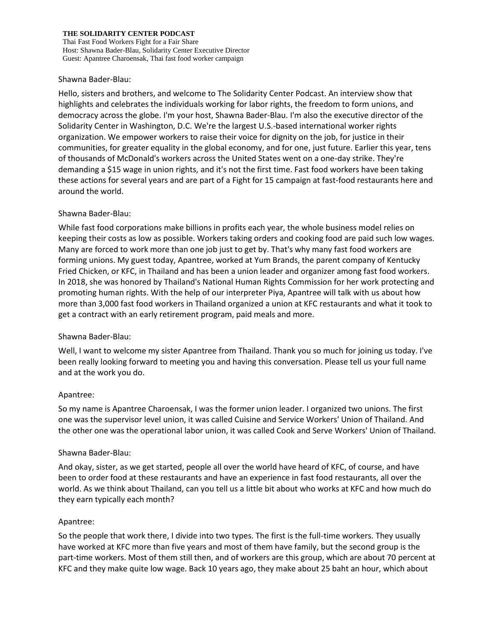Thai Fast Food Workers Fight for a Fair Share Host: Shawna Bader-Blau, Solidarity Center Executive Director Guest: Apantree Charoensak, Thai fast food worker campaign

### Shawna Bader-Blau:

Hello, sisters and brothers, and welcome to The Solidarity Center Podcast. An interview show that highlights and celebrates the individuals working for labor rights, the freedom to form unions, and democracy across the globe. I'm your host, Shawna Bader-Blau. I'm also the executive director of the Solidarity Center in Washington, D.C. We're the largest U.S.-based international worker rights organization. We empower workers to raise their voice for dignity on the job, for justice in their communities, for greater equality in the global economy, and for one, just future. Earlier this year, tens of thousands of McDonald's workers across the United States went on a one-day strike. They're demanding a \$15 wage in union rights, and it's not the first time. Fast food workers have been taking these actions for several years and are part of a Fight for 15 campaign at fast-food restaurants here and around the world.

### Shawna Bader-Blau:

While fast food corporations make billions in profits each year, the whole business model relies on keeping their costs as low as possible. Workers taking orders and cooking food are paid such low wages. Many are forced to work more than one job just to get by. That's why many fast food workers are forming unions. My guest today, Apantree, worked at Yum Brands, the parent company of Kentucky Fried Chicken, or KFC, in Thailand and has been a union leader and organizer among fast food workers. In 2018, she was honored by Thailand's National Human Rights Commission for her work protecting and promoting human rights. With the help of our interpreter Piya, Apantree will talk with us about how more than 3,000 fast food workers in Thailand organized a union at KFC restaurants and what it took to get a contract with an early retirement program, paid meals and more.

### Shawna Bader-Blau:

Well, I want to welcome my sister Apantree from Thailand. Thank you so much for joining us today. I've been really looking forward to meeting you and having this conversation. Please tell us your full name and at the work you do.

### Apantree:

So my name is Apantree Charoensak, I was the former union leader. I organized two unions. The first one was the supervisor level union, it was called Cuisine and Service Workers' Union of Thailand. And the other one was the operational labor union, it was called Cook and Serve Workers' Union of Thailand.

### Shawna Bader-Blau:

And okay, sister, as we get started, people all over the world have heard of KFC, of course, and have been to order food at these restaurants and have an experience in fast food restaurants, all over the world. As we think about Thailand, can you tell us a little bit about who works at KFC and how much do they earn typically each month?

### Apantree:

So the people that work there, I divide into two types. The first is the full-time workers. They usually have worked at KFC more than five years and most of them have family, but the second group is the part-time workers. Most of them still then, and of workers are this group, which are about 70 percent at KFC and they make quite low wage. Back 10 years ago, they make about 25 baht an hour, which about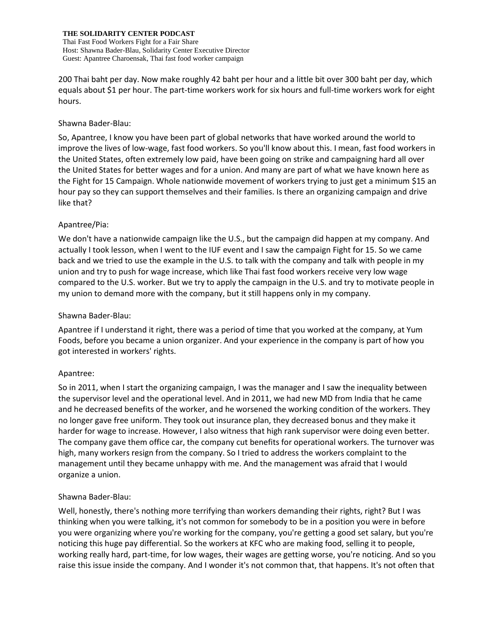Thai Fast Food Workers Fight for a Fair Share Host: Shawna Bader-Blau, Solidarity Center Executive Director Guest: Apantree Charoensak, Thai fast food worker campaign

200 Thai baht per day. Now make roughly 42 baht per hour and a little bit over 300 baht per day, which equals about \$1 per hour. The part-time workers work for six hours and full-time workers work for eight hours.

## Shawna Bader-Blau:

So, Apantree, I know you have been part of global networks that have worked around the world to improve the lives of low-wage, fast food workers. So you'll know about this. I mean, fast food workers in the United States, often extremely low paid, have been going on strike and campaigning hard all over the United States for better wages and for a union. And many are part of what we have known here as the Fight for 15 Campaign. Whole nationwide movement of workers trying to just get a minimum \$15 an hour pay so they can support themselves and their families. Is there an organizing campaign and drive like that?

# Apantree/Pia:

We don't have a nationwide campaign like the U.S., but the campaign did happen at my company. And actually I took lesson, when I went to the IUF event and I saw the campaign Fight for 15. So we came back and we tried to use the example in the U.S. to talk with the company and talk with people in my union and try to push for wage increase, which like Thai fast food workers receive very low wage compared to the U.S. worker. But we try to apply the campaign in the U.S. and try to motivate people in my union to demand more with the company, but it still happens only in my company.

# Shawna Bader-Blau:

Apantree if I understand it right, there was a period of time that you worked at the company, at Yum Foods, before you became a union organizer. And your experience in the company is part of how you got interested in workers' rights.

# Apantree:

So in 2011, when I start the organizing campaign, I was the manager and I saw the inequality between the supervisor level and the operational level. And in 2011, we had new MD from India that he came and he decreased benefits of the worker, and he worsened the working condition of the workers. They no longer gave free uniform. They took out insurance plan, they decreased bonus and they make it harder for wage to increase. However, I also witness that high rank supervisor were doing even better. The company gave them office car, the company cut benefits for operational workers. The turnover was high, many workers resign from the company. So I tried to address the workers complaint to the management until they became unhappy with me. And the management was afraid that I would organize a union.

# Shawna Bader-Blau:

Well, honestly, there's nothing more terrifying than workers demanding their rights, right? But I was thinking when you were talking, it's not common for somebody to be in a position you were in before you were organizing where you're working for the company, you're getting a good set salary, but you're noticing this huge pay differential. So the workers at KFC who are making food, selling it to people, working really hard, part-time, for low wages, their wages are getting worse, you're noticing. And so you raise this issue inside the company. And I wonder it's not common that, that happens. It's not often that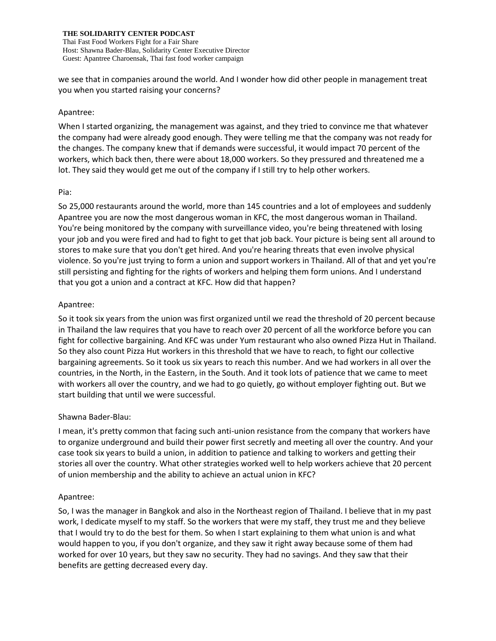Thai Fast Food Workers Fight for a Fair Share Host: Shawna Bader-Blau, Solidarity Center Executive Director Guest: Apantree Charoensak, Thai fast food worker campaign

we see that in companies around the world. And I wonder how did other people in management treat you when you started raising your concerns?

### Apantree:

When I started organizing, the management was against, and they tried to convince me that whatever the company had were already good enough. They were telling me that the company was not ready for the changes. The company knew that if demands were successful, it would impact 70 percent of the workers, which back then, there were about 18,000 workers. So they pressured and threatened me a lot. They said they would get me out of the company if I still try to help other workers.

## Pia:

So 25,000 restaurants around the world, more than 145 countries and a lot of employees and suddenly Apantree you are now the most dangerous woman in KFC, the most dangerous woman in Thailand. You're being monitored by the company with surveillance video, you're being threatened with losing your job and you were fired and had to fight to get that job back. Your picture is being sent all around to stores to make sure that you don't get hired. And you're hearing threats that even involve physical violence. So you're just trying to form a union and support workers in Thailand. All of that and yet you're still persisting and fighting for the rights of workers and helping them form unions. And I understand that you got a union and a contract at KFC. How did that happen?

## Apantree:

So it took six years from the union was first organized until we read the threshold of 20 percent because in Thailand the law requires that you have to reach over 20 percent of all the workforce before you can fight for collective bargaining. And KFC was under Yum restaurant who also owned Pizza Hut in Thailand. So they also count Pizza Hut workers in this threshold that we have to reach, to fight our collective bargaining agreements. So it took us six years to reach this number. And we had workers in all over the countries, in the North, in the Eastern, in the South. And it took lots of patience that we came to meet with workers all over the country, and we had to go quietly, go without employer fighting out. But we start building that until we were successful.

# Shawna Bader-Blau:

I mean, it's pretty common that facing such anti-union resistance from the company that workers have to organize underground and build their power first secretly and meeting all over the country. And your case took six years to build a union, in addition to patience and talking to workers and getting their stories all over the country. What other strategies worked well to help workers achieve that 20 percent of union membership and the ability to achieve an actual union in KFC?

# Apantree:

So, I was the manager in Bangkok and also in the Northeast region of Thailand. I believe that in my past work, I dedicate myself to my staff. So the workers that were my staff, they trust me and they believe that I would try to do the best for them. So when I start explaining to them what union is and what would happen to you, if you don't organize, and they saw it right away because some of them had worked for over 10 years, but they saw no security. They had no savings. And they saw that their benefits are getting decreased every day.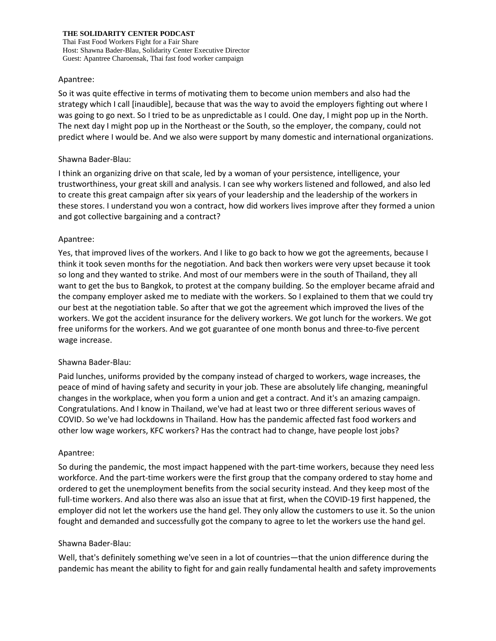Thai Fast Food Workers Fight for a Fair Share Host: Shawna Bader-Blau, Solidarity Center Executive Director Guest: Apantree Charoensak, Thai fast food worker campaign

#### Apantree:

So it was quite effective in terms of motivating them to become union members and also had the strategy which I call [inaudible], because that was the way to avoid the employers fighting out where I was going to go next. So I tried to be as unpredictable as I could. One day, I might pop up in the North. The next day I might pop up in the Northeast or the South, so the employer, the company, could not predict where I would be. And we also were support by many domestic and international organizations.

### Shawna Bader-Blau:

I think an organizing drive on that scale, led by a woman of your persistence, intelligence, your trustworthiness, your great skill and analysis. I can see why workers listened and followed, and also led to create this great campaign after six years of your leadership and the leadership of the workers in these stores. I understand you won a contract, how did workers lives improve after they formed a union and got collective bargaining and a contract?

### Apantree:

Yes, that improved lives of the workers. And I like to go back to how we got the agreements, because I think it took seven months for the negotiation. And back then workers were very upset because it took so long and they wanted to strike. And most of our members were in the south of Thailand, they all want to get the bus to Bangkok, to protest at the company building. So the employer became afraid and the company employer asked me to mediate with the workers. So I explained to them that we could try our best at the negotiation table. So after that we got the agreement which improved the lives of the workers. We got the accident insurance for the delivery workers. We got lunch for the workers. We got free uniforms for the workers. And we got guarantee of one month bonus and three-to-five percent wage increase.

### Shawna Bader-Blau:

Paid lunches, uniforms provided by the company instead of charged to workers, wage increases, the peace of mind of having safety and security in your job. These are absolutely life changing, meaningful changes in the workplace, when you form a union and get a contract. And it's an amazing campaign. Congratulations. And I know in Thailand, we've had at least two or three different serious waves of COVID. So we've had lockdowns in Thailand. How has the pandemic affected fast food workers and other low wage workers, KFC workers? Has the contract had to change, have people lost jobs?

### Apantree:

So during the pandemic, the most impact happened with the part-time workers, because they need less workforce. And the part-time workers were the first group that the company ordered to stay home and ordered to get the unemployment benefits from the social security instead. And they keep most of the full-time workers. And also there was also an issue that at first, when the COVID-19 first happened, the employer did not let the workers use the hand gel. They only allow the customers to use it. So the union fought and demanded and successfully got the company to agree to let the workers use the hand gel.

### Shawna Bader-Blau:

Well, that's definitely something we've seen in a lot of countries—that the union difference during the pandemic has meant the ability to fight for and gain really fundamental health and safety improvements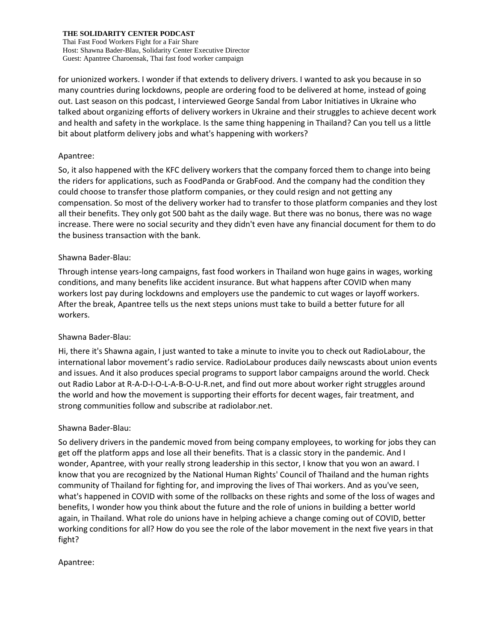Thai Fast Food Workers Fight for a Fair Share Host: Shawna Bader-Blau, Solidarity Center Executive Director Guest: Apantree Charoensak, Thai fast food worker campaign

for unionized workers. I wonder if that extends to delivery drivers. I wanted to ask you because in so many countries during lockdowns, people are ordering food to be delivered at home, instead of going out. Last season on this podcast, I interviewed George Sandal from Labor Initiatives in Ukraine who talked about organizing efforts of delivery workers in Ukraine and their struggles to achieve decent work and health and safety in the workplace. Is the same thing happening in Thailand? Can you tell us a little bit about platform delivery jobs and what's happening with workers?

## Apantree:

So, it also happened with the KFC delivery workers that the company forced them to change into being the riders for applications, such as FoodPanda or GrabFood. And the company had the condition they could choose to transfer those platform companies, or they could resign and not getting any compensation. So most of the delivery worker had to transfer to those platform companies and they lost all their benefits. They only got 500 baht as the daily wage. But there was no bonus, there was no wage increase. There were no social security and they didn't even have any financial document for them to do the business transaction with the bank.

## Shawna Bader-Blau:

Through intense years-long campaigns, fast food workers in Thailand won huge gains in wages, working conditions, and many benefits like accident insurance. But what happens after COVID when many workers lost pay during lockdowns and employers use the pandemic to cut wages or layoff workers. After the break, Apantree tells us the next steps unions must take to build a better future for all workers.

# Shawna Bader-Blau:

Hi, there it's Shawna again, I just wanted to take a minute to invite you to check out RadioLabour, the international labor movement's radio service. RadioLabour produces daily newscasts about union events and issues. And it also produces special programs to support labor campaigns around the world. Check out Radio Labor at R-A-D-I-O-L-A-B-O-U-R.net, and find out more about worker right struggles around the world and how the movement is supporting their efforts for decent wages, fair treatment, and strong communities follow and subscribe at radiolabor.net.

# Shawna Bader-Blau:

So delivery drivers in the pandemic moved from being company employees, to working for jobs they can get off the platform apps and lose all their benefits. That is a classic story in the pandemic. And I wonder, Apantree, with your really strong leadership in this sector, I know that you won an award. I know that you are recognized by the National Human Rights' Council of Thailand and the human rights community of Thailand for fighting for, and improving the lives of Thai workers. And as you've seen, what's happened in COVID with some of the rollbacks on these rights and some of the loss of wages and benefits, I wonder how you think about the future and the role of unions in building a better world again, in Thailand. What role do unions have in helping achieve a change coming out of COVID, better working conditions for all? How do you see the role of the labor movement in the next five years in that fight?

### Apantree: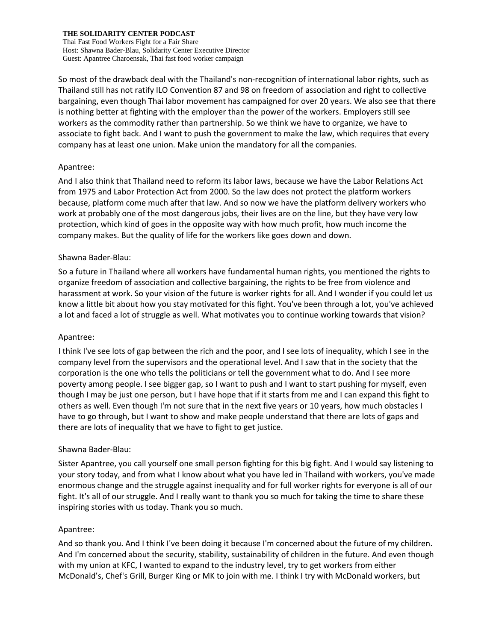Thai Fast Food Workers Fight for a Fair Share Host: Shawna Bader-Blau, Solidarity Center Executive Director Guest: Apantree Charoensak, Thai fast food worker campaign

So most of the drawback deal with the Thailand's non-recognition of international labor rights, such as Thailand still has not ratify ILO Convention 87 and 98 on freedom of association and right to collective bargaining, even though Thai labor movement has campaigned for over 20 years. We also see that there is nothing better at fighting with the employer than the power of the workers. Employers still see workers as the commodity rather than partnership. So we think we have to organize, we have to associate to fight back. And I want to push the government to make the law, which requires that every company has at least one union. Make union the mandatory for all the companies.

## Apantree:

And I also think that Thailand need to reform its labor laws, because we have the Labor Relations Act from 1975 and Labor Protection Act from 2000. So the law does not protect the platform workers because, platform come much after that law. And so now we have the platform delivery workers who work at probably one of the most dangerous jobs, their lives are on the line, but they have very low protection, which kind of goes in the opposite way with how much profit, how much income the company makes. But the quality of life for the workers like goes down and down.

## Shawna Bader-Blau:

So a future in Thailand where all workers have fundamental human rights, you mentioned the rights to organize freedom of association and collective bargaining, the rights to be free from violence and harassment at work. So your vision of the future is worker rights for all. And I wonder if you could let us know a little bit about how you stay motivated for this fight. You've been through a lot, you've achieved a lot and faced a lot of struggle as well. What motivates you to continue working towards that vision?

### Apantree:

I think I've see lots of gap between the rich and the poor, and I see lots of inequality, which I see in the company level from the supervisors and the operational level. And I saw that in the society that the corporation is the one who tells the politicians or tell the government what to do. And I see more poverty among people. I see bigger gap, so I want to push and I want to start pushing for myself, even though I may be just one person, but I have hope that if it starts from me and I can expand this fight to others as well. Even though I'm not sure that in the next five years or 10 years, how much obstacles I have to go through, but I want to show and make people understand that there are lots of gaps and there are lots of inequality that we have to fight to get justice.

# Shawna Bader-Blau:

Sister Apantree, you call yourself one small person fighting for this big fight. And I would say listening to your story today, and from what I know about what you have led in Thailand with workers, you've made enormous change and the struggle against inequality and for full worker rights for everyone is all of our fight. It's all of our struggle. And I really want to thank you so much for taking the time to share these inspiring stories with us today. Thank you so much.

### Apantree:

And so thank you. And I think I've been doing it because I'm concerned about the future of my children. And I'm concerned about the security, stability, sustainability of children in the future. And even though with my union at KFC, I wanted to expand to the industry level, try to get workers from either McDonald's, Chef's Grill, Burger King or MK to join with me. I think I try with McDonald workers, but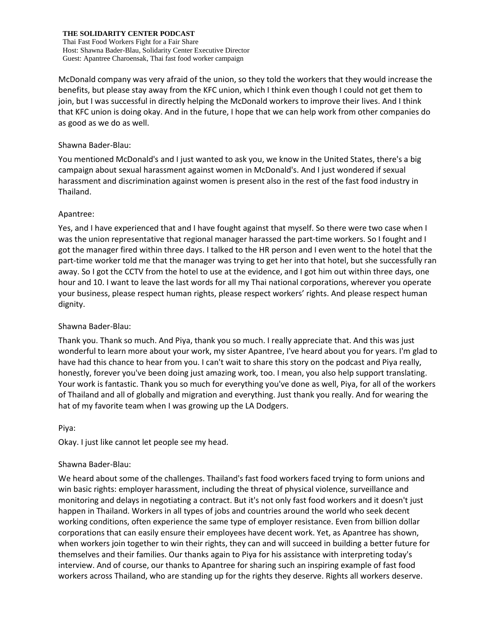Thai Fast Food Workers Fight for a Fair Share Host: Shawna Bader-Blau, Solidarity Center Executive Director Guest: Apantree Charoensak, Thai fast food worker campaign

McDonald company was very afraid of the union, so they told the workers that they would increase the benefits, but please stay away from the KFC union, which I think even though I could not get them to join, but I was successful in directly helping the McDonald workers to improve their lives. And I think that KFC union is doing okay. And in the future, I hope that we can help work from other companies do as good as we do as well.

## Shawna Bader-Blau:

You mentioned McDonald's and I just wanted to ask you, we know in the United States, there's a big campaign about sexual harassment against women in McDonald's. And I just wondered if sexual harassment and discrimination against women is present also in the rest of the fast food industry in Thailand.

## Apantree:

Yes, and I have experienced that and I have fought against that myself. So there were two case when I was the union representative that regional manager harassed the part-time workers. So I fought and I got the manager fired within three days. I talked to the HR person and I even went to the hotel that the part-time worker told me that the manager was trying to get her into that hotel, but she successfully ran away. So I got the CCTV from the hotel to use at the evidence, and I got him out within three days, one hour and 10. I want to leave the last words for all my Thai national corporations, wherever you operate your business, please respect human rights, please respect workers' rights. And please respect human dignity.

# Shawna Bader-Blau:

Thank you. Thank so much. And Piya, thank you so much. I really appreciate that. And this was just wonderful to learn more about your work, my sister Apantree, I've heard about you for years. I'm glad to have had this chance to hear from you. I can't wait to share this story on the podcast and Piya really, honestly, forever you've been doing just amazing work, too. I mean, you also help support translating. Your work is fantastic. Thank you so much for everything you've done as well, Piya, for all of the workers of Thailand and all of globally and migration and everything. Just thank you really. And for wearing the hat of my favorite team when I was growing up the LA Dodgers.

Piya:

Okay. I just like cannot let people see my head.

# Shawna Bader-Blau:

We heard about some of the challenges. Thailand's fast food workers faced trying to form unions and win basic rights: employer harassment, including the threat of physical violence, surveillance and monitoring and delays in negotiating a contract. But it's not only fast food workers and it doesn't just happen in Thailand. Workers in all types of jobs and countries around the world who seek decent working conditions, often experience the same type of employer resistance. Even from billion dollar corporations that can easily ensure their employees have decent work. Yet, as Apantree has shown, when workers join together to win their rights, they can and will succeed in building a better future for themselves and their families. Our thanks again to Piya for his assistance with interpreting today's interview. And of course, our thanks to Apantree for sharing such an inspiring example of fast food workers across Thailand, who are standing up for the rights they deserve. Rights all workers deserve.